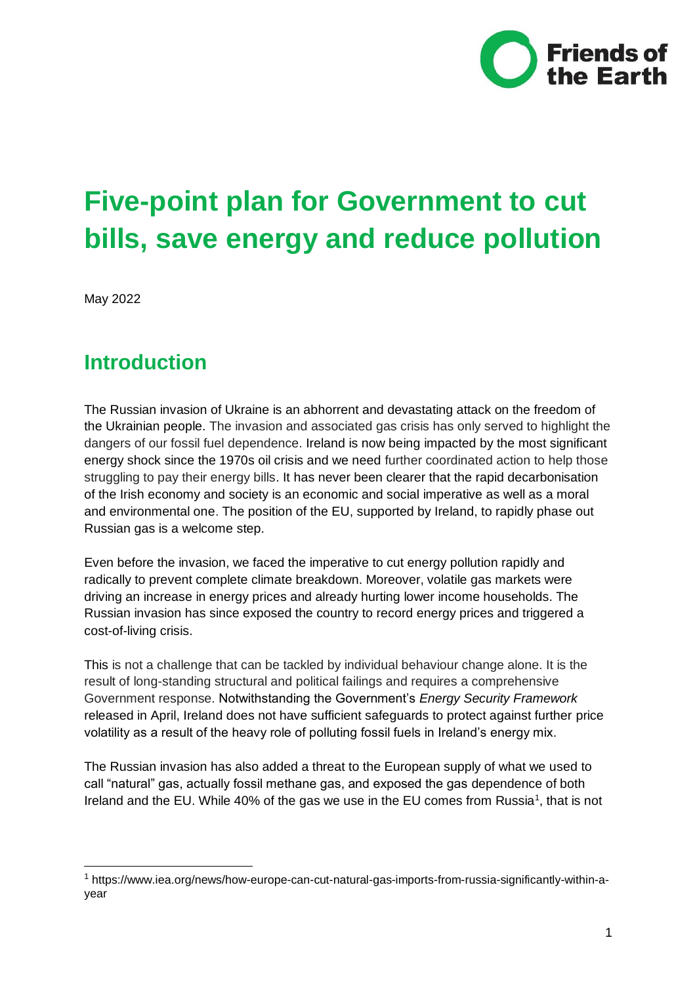

# **Five-point plan for Government to cut bills, save energy and reduce pollution**

May 2022

-

### **Introduction**

The Russian invasion of Ukraine is an abhorrent and devastating attack on the freedom of the Ukrainian people. The invasion and associated gas crisis has only served to highlight the dangers of our fossil fuel dependence. Ireland is now being impacted by the most significant energy shock since the 1970s oil crisis and we need further coordinated action to help those struggling to pay their energy bills. It has never been clearer that the rapid decarbonisation of the Irish economy and society is an economic and social imperative as well as a moral and environmental one. The position of the EU, supported by Ireland, to rapidly phase out Russian gas is a welcome step.

Even before the invasion, we faced the imperative to cut energy pollution rapidly and radically to prevent complete climate breakdown. Moreover, volatile gas markets were driving an increase in energy prices and already hurting lower income households. The Russian invasion has since exposed the country to record energy prices and triggered a cost-of-living crisis.

This is not a challenge that can be tackled by individual behaviour change alone. It is the result of long-standing structural and political failings and requires a comprehensive Government response. Notwithstanding the Government's *Energy Security Framework* released in April, Ireland does not have sufficient safeguards to protect against further price volatility as a result of the heavy role of polluting fossil fuels in Ireland's energy mix.

The Russian invasion has also added a threat to the European supply of what we used to call "natural" gas, actually fossil methane gas, and exposed the gas dependence of both Ireland and the EU. While 40% of the gas we use in the EU comes from Russia<sup>1</sup>, that is not

<sup>1</sup> https://www.iea.org/news/how-europe-can-cut-natural-gas-imports-from-russia-significantly-within-ayear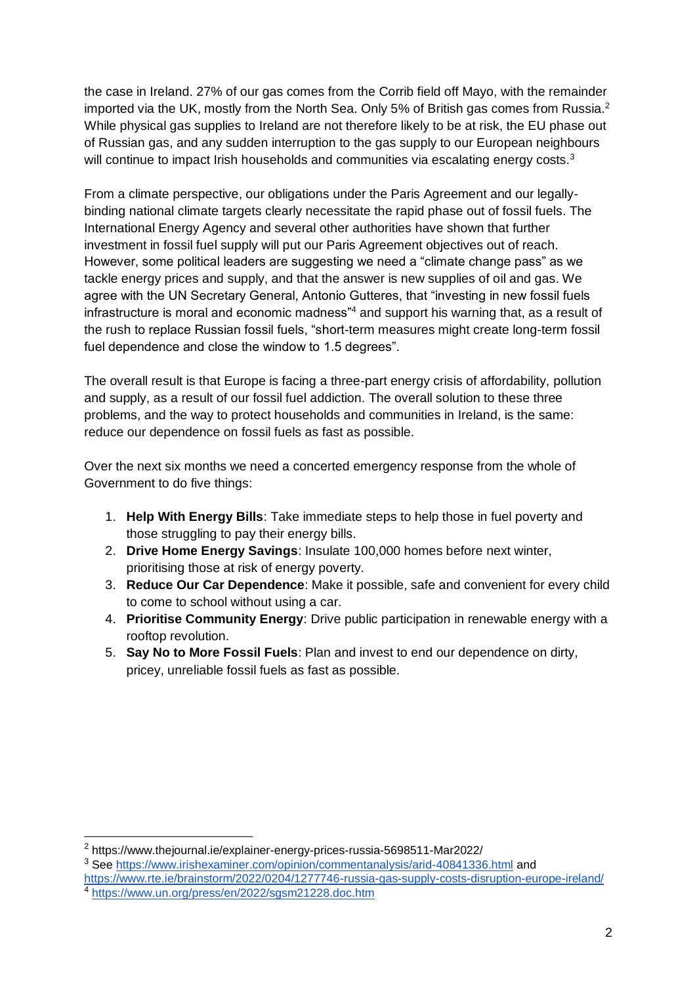the case in Ireland. 27% of our gas comes from the Corrib field off Mayo, with the remainder imported via the UK, mostly from the North Sea. Only 5% of British gas comes from Russia.<sup>2</sup> While physical gas supplies to Ireland are not therefore likely to be at risk, the EU phase out of Russian gas, and any sudden interruption to the gas supply to our European neighbours will continue to impact Irish households and communities via escalating energy costs.<sup>3</sup>

From a climate perspective, our obligations under the Paris Agreement and our legallybinding national climate targets clearly necessitate the rapid phase out of fossil fuels. The International Energy Agency and several other authorities have shown that further investment in fossil fuel supply will put our Paris Agreement objectives out of reach. However, some political leaders are suggesting we need a "climate change pass" as we tackle energy prices and supply, and that the answer is new supplies of oil and gas. We agree with the UN Secretary General, Antonio Gutteres, that "investing in new fossil fuels infrastructure is moral and economic madness"<sup>4</sup> and support his warning that, as a result of the rush to replace Russian fossil fuels, "short-term measures might create long-term fossil fuel dependence and close the window to 1.5 degrees".

The overall result is that Europe is facing a three-part energy crisis of affordability, pollution and supply, as a result of our fossil fuel addiction. The overall solution to these three problems, and the way to protect households and communities in Ireland, is the same: reduce our dependence on fossil fuels as fast as possible.

Over the next six months we need a concerted emergency response from the whole of Government to do five things:

- 1. **Help With Energy Bills**: Take immediate steps to help those in fuel poverty and those struggling to pay their energy bills.
- 2. **Drive Home Energy Savings**: Insulate 100,000 homes before next winter, prioritising those at risk of energy poverty.
- 3. **Reduce Our Car Dependence**: Make it possible, safe and convenient for every child to come to school without using a car.
- 4. **Prioritise Community Energy**: Drive public participation in renewable energy with a rooftop revolution.
- 5. **Say No to More Fossil Fuels**: Plan and invest to end our dependence on dirty, pricey, unreliable fossil fuels as fast as possible.

 $\overline{a}$ 

<sup>2</sup> https://www.thejournal.ie/explainer-energy-prices-russia-5698511-Mar2022/

<sup>&</sup>lt;sup>3</sup> See<https://www.irishexaminer.com/opinion/commentanalysis/arid-40841336.html> and

<https://www.rte.ie/brainstorm/2022/0204/1277746-russia-gas-supply-costs-disruption-europe-ireland/> <sup>4</sup> <https://www.un.org/press/en/2022/sgsm21228.doc.htm>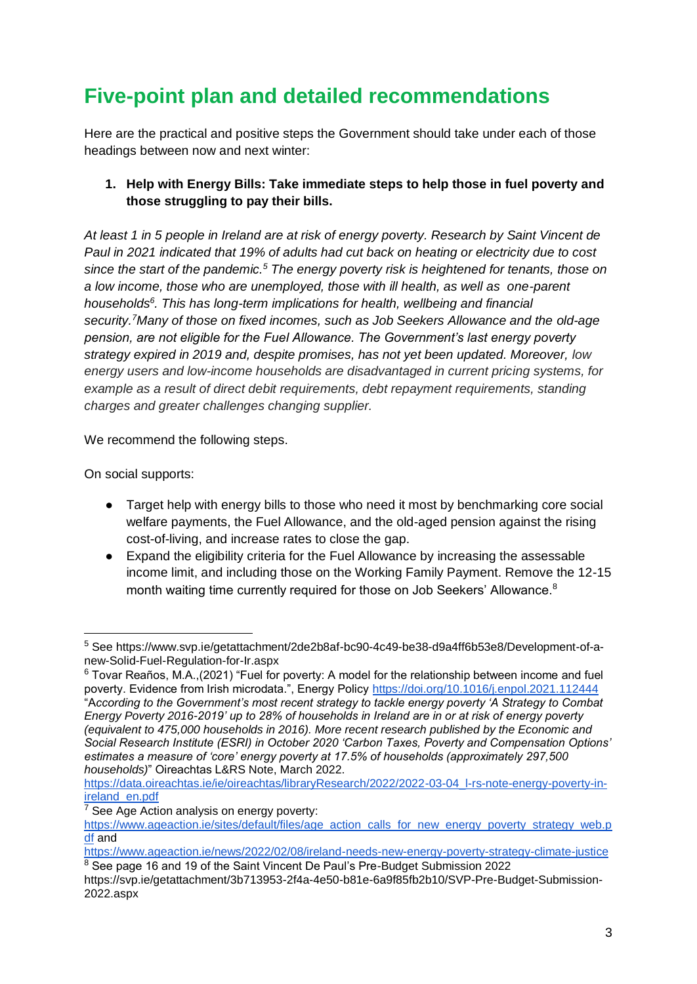## **Five-point plan and detailed recommendations**

Here are the practical and positive steps the Government should take under each of those headings between now and next winter:

#### **1. Help with Energy Bills: Take immediate steps to help those in fuel poverty and those struggling to pay their bills.**

*At least 1 in 5 people in Ireland are at risk of energy poverty. Research by Saint Vincent de Paul in 2021 indicated that 19% of adults had cut back on heating or electricity due to cost since the start of the pandemic.<sup>5</sup> The energy poverty risk is heightened for tenants, those on a low income, those who are unemployed, those with ill health, as well as one-parent households<sup>6</sup> . This has long-term implications for health, wellbeing and financial security.<sup>7</sup>Many of those on fixed incomes, such as Job Seekers Allowance and the old-age pension, are not eligible for the Fuel Allowance. The Government's last energy poverty strategy expired in 2019 and, despite promises, has not yet been updated. Moreover, low energy users and low-income households are disadvantaged in current pricing systems, for example as a result of direct debit requirements, debt repayment requirements, standing charges and greater challenges changing supplier.*

We recommend the following steps.

On social supports:

- Target help with energy bills to those who need it most by benchmarking core social welfare payments, the Fuel Allowance, and the old-aged pension against the rising cost-of-living, and increase rates to close the gap.
- Expand the eligibility criteria for the Fuel Allowance by increasing the assessable income limit, and including those on the Working Family Payment. Remove the 12-15 month waiting time currently required for those on Job Seekers' Allowance.<sup>8</sup>

<sup>-</sup><sup>5</sup> See https://www.svp.ie/getattachment/2de2b8af-bc90-4c49-be38-d9a4ff6b53e8/Development-of-anew-Solid-Fuel-Regulation-for-Ir.aspx

 $6$  Tovar Reaños, M.A., (2021) "Fuel for poverty: A model for the relationship between income and fuel poverty. Evidence from Irish microdata.", Energy Policy<https://doi.org/10.1016/j.enpol.2021.112444> "A*ccording to the Government's most recent strategy to tackle energy poverty 'A Strategy to Combat Energy Poverty 2016-2019' up to 28% of households in Ireland are in or at risk of energy poverty (equivalent to 475,000 households in 2016). More recent research published by the Economic and Social Research Institute (ESRI) in October 2020 'Carbon Taxes, Poverty and Compensation Options' estimates a measure of 'core' energy poverty at 17.5% of households (approximately 297,500 households)*" Oireachtas L&RS Note, March 2022.

[https://data.oireachtas.ie/ie/oireachtas/libraryResearch/2022/2022-03-04\\_l-rs-note-energy-poverty-in](https://data.oireachtas.ie/ie/oireachtas/libraryResearch/2022/2022-03-04_l-rs-note-energy-poverty-in-ireland_en.pdf)[ireland\\_en.pdf](https://data.oireachtas.ie/ie/oireachtas/libraryResearch/2022/2022-03-04_l-rs-note-energy-poverty-in-ireland_en.pdf)

 $7$  See Age Action analysis on energy poverty:

[https://www.ageaction.ie/sites/default/files/age\\_action\\_calls\\_for\\_new\\_energy\\_poverty\\_strategy\\_web.p](https://www.ageaction.ie/sites/default/files/age_action_calls_for_new_energy_poverty_strategy_web.pdf) [df](https://www.ageaction.ie/sites/default/files/age_action_calls_for_new_energy_poverty_strategy_web.pdf) and

<https://www.ageaction.ie/news/2022/02/08/ireland-needs-new-energy-poverty-strategy-climate-justice> <sup>8</sup> See page 16 and 19 of the Saint Vincent De Paul's Pre-Budget Submission 2022

https://svp.ie/getattachment/3b713953-2f4a-4e50-b81e-6a9f85fb2b10/SVP-Pre-Budget-Submission-2022.aspx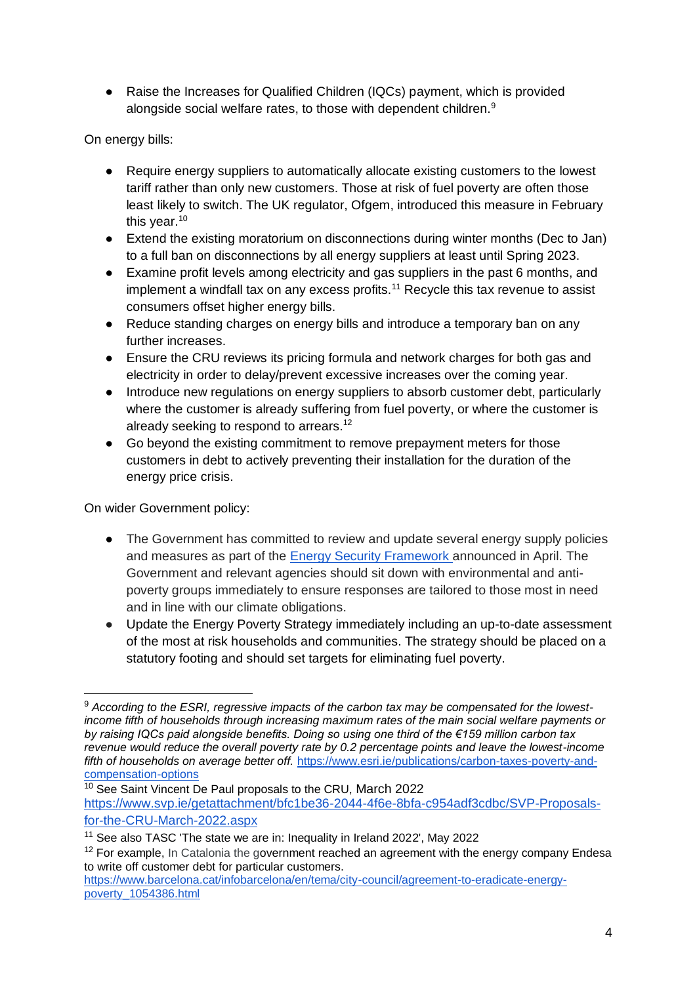• Raise the Increases for Qualified Children (IQCs) payment, which is provided alongside social welfare rates, to those with dependent children.<sup>9</sup>

On energy bills:

- Require energy suppliers to automatically allocate existing customers to the lowest tariff rather than only new customers. Those at risk of fuel poverty are often those least likely to switch. The UK regulator, Ofgem, introduced this measure in February this year.<sup>10</sup>
- Extend the existing moratorium on disconnections during winter months (Dec to Jan) to a full ban on disconnections by all energy suppliers at least until Spring 2023.
- Examine profit levels among electricity and gas suppliers in the past 6 months, and implement a windfall tax on any excess profits.<sup>11</sup> Recycle this tax revenue to assist consumers offset higher energy bills.
- Reduce standing charges on energy bills and introduce a temporary ban on any further increases.
- Ensure the CRU reviews its pricing formula and network charges for both gas and electricity in order to delay/prevent excessive increases over the coming year.
- Introduce new regulations on energy suppliers to absorb customer debt, particularly where the customer is already suffering from fuel poverty, or where the customer is already seeking to respond to arrears.<sup>12</sup>
- Go beyond the existing commitment to remove prepayment meters for those customers in debt to actively preventing their installation for the duration of the energy price crisis.

On wider Government policy:

- The Government has committed to review and update several energy supply policies and measures as part of the [Energy Security Framework a](https://www.gov.ie/en/publication/ea9e4-national-energy-security-framework/)nnounced in April. The Government and relevant agencies should sit down with environmental and antipoverty groups immediately to ensure responses are tailored to those most in need and in line with our climate obligations.
- Update the Energy Poverty Strategy immediately including an up-to-date assessment of the most at risk households and communities. The strategy should be placed on a statutory footing and should set targets for eliminating fuel poverty.

<sup>-</sup><sup>9</sup> *According to the ESRI, regressive impacts of the carbon tax may be compensated for the lowestincome fifth of households through increasing maximum rates of the main social welfare payments or by raising IQCs paid alongside benefits. Doing so using one third of the €159 million carbon tax revenue would reduce the overall poverty rate by 0.2 percentage points and leave the lowest-income*  fifth of households on average better off. [https://www.esri.ie/publications/carbon-taxes-poverty-and](https://www.esri.ie/publications/carbon-taxes-poverty-and-compensation-options)[compensation-options](https://www.esri.ie/publications/carbon-taxes-poverty-and-compensation-options)

<sup>&</sup>lt;sup>10</sup> See Saint Vincent De Paul proposals to the CRU, March 2022 https://www.svp.ie/getattachment/bfc1be36-2044-4f6e-8bfa-c954adf3cdbc/SVP-Proposalsfor-the-CRU-March-2022.aspx

<sup>&</sup>lt;sup>11</sup> See also TASC 'The state we are in: Inequality in Ireland 2022', May 2022

 $12$  For example, In Catalonia the government reached an agreement with the energy company Endesa to write off customer debt for particular customers.

https://www.barcelona.cat/infobarcelona/en/tema/city-council/agreement-to-eradicate-energypoverty\_1054386.html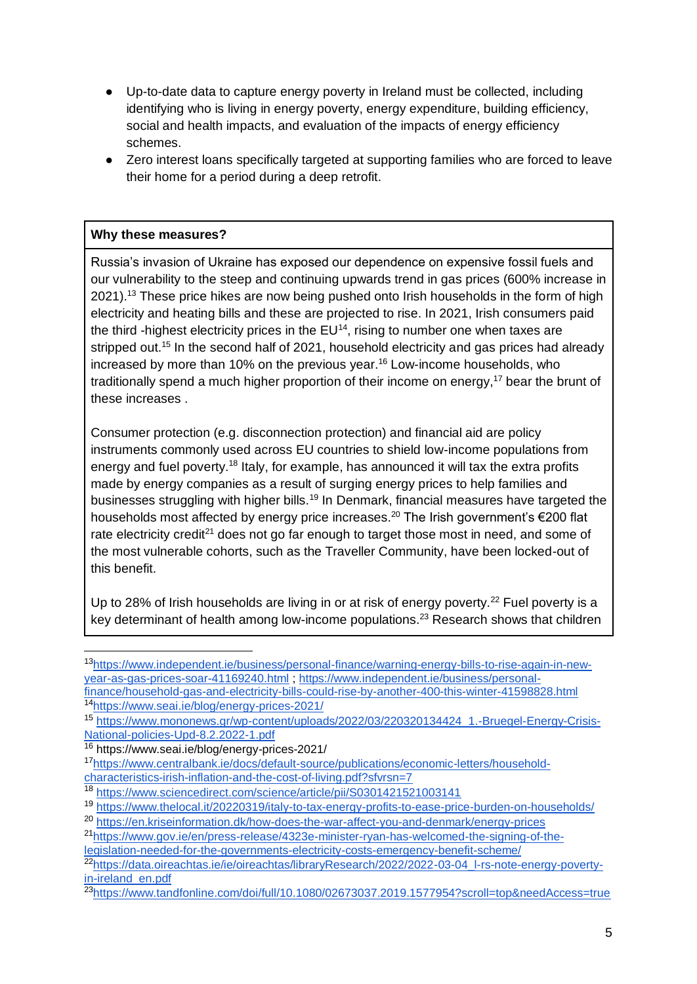- Up-to-date data to capture energy poverty in Ireland must be collected, including identifying who is living in energy poverty, energy expenditure, building efficiency, social and health impacts, and evaluation of the impacts of energy efficiency schemes.
- Zero interest loans specifically targeted at supporting families who are forced to leave their home for a period during a deep retrofit.

#### **Why these measures?**

Russia's invasion of Ukraine has exposed our dependence on expensive fossil fuels and our vulnerability to the steep and continuing upwards trend in gas prices (600% increase in 2021).<sup>13</sup> These price hikes are now being pushed onto Irish households in the form of high electricity and heating bills and these are projected to rise. In 2021, Irish consumers paid the third -highest electricity prices in the  $EU^{14}$ , rising to number one when taxes are stripped out.<sup>15</sup> In the second half of 2021, household electricity and gas prices had already increased by more than 10% on the previous year.<sup>16</sup> Low-income households, who traditionally spend a much higher proportion of their income on energy,<sup>17</sup> bear the brunt of these increases .

Consumer protection (e.g. disconnection protection) and financial aid are policy instruments commonly used across EU countries to shield low-income populations from energy and fuel poverty.<sup>18</sup> Italy, for example, has announced it will tax the extra profits made by energy companies as a result of surging energy prices to help families and businesses struggling with higher bills.<sup>19</sup> In Denmark, financial measures have targeted the households most affected by energy price increases.<sup>20</sup> The Irish government's  $\epsilon$ 200 flat rate electricity credit<sup>21</sup> does not go far enough to target those most in need, and some of the most vulnerable cohorts, such as the Traveller Community, have been locked-out of this benefit.

Up to 28% of Irish households are living in or at risk of energy poverty.<sup>22</sup> Fuel poverty is a key determinant of health among low-income populations.<sup>23</sup> Research shows that children

<sup>13</sup>https://www.independent.ie/business/personal-finance/warning-energy-bills-to-rise-again-in-newyear-as-gas-prices-soar-41169240.html ; [https://www.independent.ie/business/personal](https://www.independent.ie/business/personal-finance/household-gas-and-electricity-bills-could-rise-by-another-400-this-winter-41598828.html)[finance/household-gas-and-electricity-bills-could-rise-by-another-400-this-winter-41598828.html](https://www.independent.ie/business/personal-finance/household-gas-and-electricity-bills-could-rise-by-another-400-this-winter-41598828.html)

<sup>14</sup><https://www.seai.ie/blog/energy-prices-2021/>

<sup>15</sup> https://www.mononews.gr/wp-content/uploads/2022/03/220320134424\_1.-Bruegel-Energy-Crisis-National-policies-Upd-8.2.2022-1.pdf

<sup>16</sup> https://www.seai.ie/blog/energy-prices-2021/

<sup>17</sup>https://www.centralbank.ie/docs/default-source/publications/economic-letters/householdcharacteristics-irish-inflation-and-the-cost-of-living.pdf?sfvrsn=7

<sup>18</sup> https://www.sciencedirect.com/science/article/pii/S0301421521003141

<sup>19</sup> https://www.thelocal.it/20220319/italy-to-tax-energy-profits-to-ease-price-burden-on-households/

<sup>20</sup> https://en.kriseinformation.dk/how-does-the-war-affect-you-and-denmark/energy-prices

<sup>21</sup>https://www.gov.ie/en/press-release/4323e-minister-ryan-has-welcomed-the-signing-of-thelegislation-needed-for-the-governments-electricity-costs-emergency-benefit-scheme/

<sup>22</sup>https://data.oireachtas.ie/ie/oireachtas/libraryResearch/2022/2022-03-04\_l-rs-note-energy-povertyin-ireland\_en.pdf

<sup>23</sup>https://www.tandfonline.com/doi/full/10.1080/02673037.2019.1577954?scroll=top&needAccess=true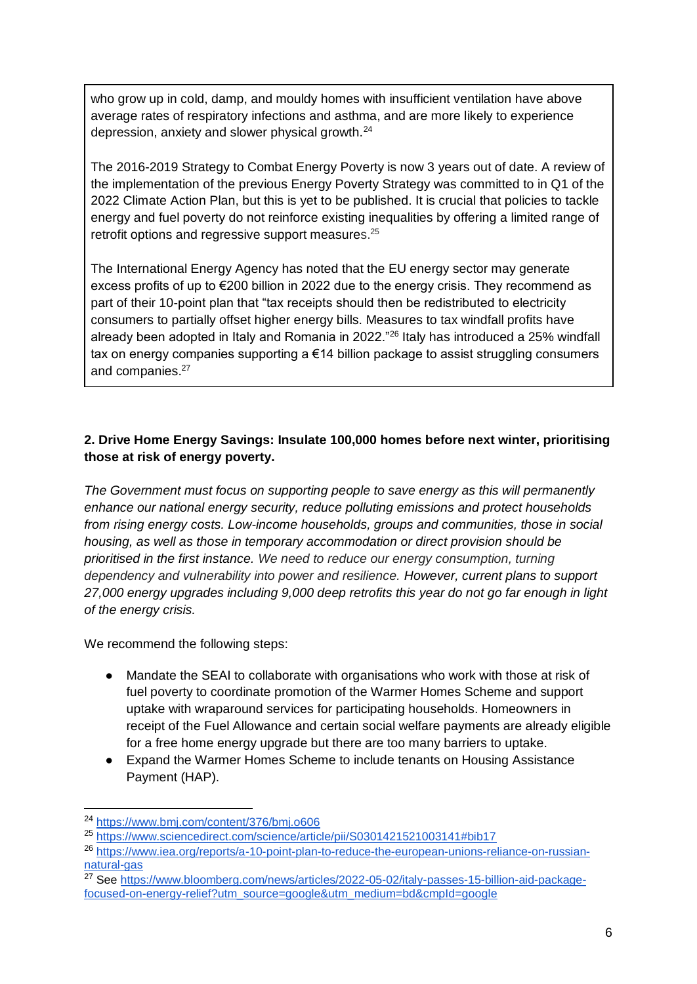who grow up in cold, damp, and mouldy homes with insufficient ventilation have above average rates of respiratory infections and asthma, and are more likely to experience depression, anxiety and slower physical growth.<sup>24</sup>

The 2016-2019 Strategy to Combat Energy Poverty is now 3 years out of date. A review of the implementation of the previous Energy Poverty Strategy was committed to in Q1 of the 2022 Climate Action Plan, but this is yet to be published. It is crucial that policies to tackle energy and fuel poverty do not reinforce existing inequalities by offering a limited range of retrofit options and regressive support measures.<sup>25</sup>

The International Energy Agency has noted that the EU energy sector may generate excess profits of up to €200 billion in 2022 due to the energy crisis. They recommend as part of their 10-point plan that "tax receipts should then be redistributed to electricity consumers to partially offset higher energy bills. Measures to tax windfall profits have already been adopted in Italy and Romania in 2022."<sup>26</sup> Italy has introduced a 25% windfall tax on energy companies supporting a €14 billion package to assist struggling consumers and companies.<sup>27</sup>

#### **2. Drive Home Energy Savings: Insulate 100,000 homes before next winter, prioritising those at risk of energy poverty.**

*The Government must focus on supporting people to save energy as this will permanently enhance our national energy security, reduce polluting emissions and protect households from rising energy costs. Low-income households, groups and communities, those in social housing, as well as those in temporary accommodation or direct provision should be prioritised in the first instance. We need to reduce our energy consumption, turning dependency and vulnerability into power and resilience. However, current plans to support 27,000 energy upgrades including 9,000 deep retrofits this year do not go far enough in light of the energy crisis.*

We recommend the following steps:

- Mandate the SEAI to collaborate with organisations who work with those at risk of fuel poverty to coordinate promotion of the Warmer Homes Scheme and support uptake with wraparound services for participating households. Homeowners in receipt of the Fuel Allowance and certain social welfare payments are already eligible for a free home energy upgrade but there are too many barriers to uptake.
- Expand the Warmer Homes Scheme to include tenants on Housing Assistance Payment (HAP).

<sup>24</sup> https://www.bmj.com/content/376/bmj.o606

<sup>25</sup> https://www.sciencedirect.com/science/article/pii/S0301421521003141#bib17

<sup>26</sup> https://www.iea.org/reports/a-10-point-plan-to-reduce-the-european-unions-reliance-on-russiannatural-gas

<sup>&</sup>lt;sup>27</sup> See [https://www.bloomberg.com/news/articles/2022-05-02/italy-passes-15-billion-aid-package](https://www.bloomberg.com/news/articles/2022-05-02/italy-passes-15-billion-aid-package-focused-on-energy-relief?utm_source=google&utm_medium=bd&cmpId=google)[focused-on-energy-relief?utm\\_source=google&utm\\_medium=bd&cmpId=google](https://www.bloomberg.com/news/articles/2022-05-02/italy-passes-15-billion-aid-package-focused-on-energy-relief?utm_source=google&utm_medium=bd&cmpId=google)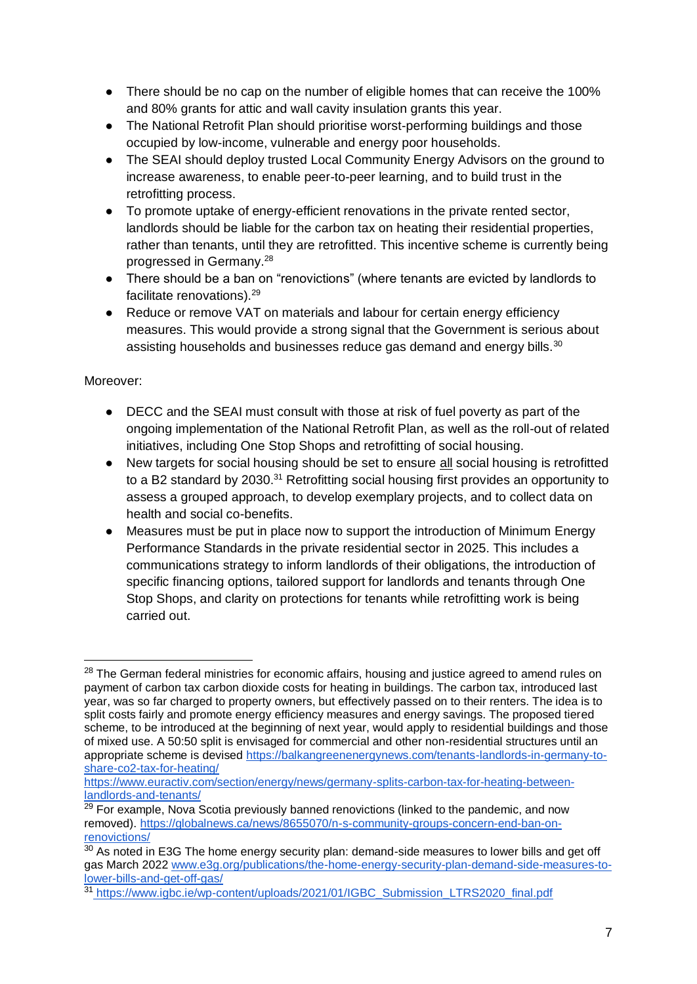- There should be no cap on the number of eligible homes that can receive the 100% and 80% grants for attic and wall cavity insulation grants this year.
- The National Retrofit Plan should prioritise worst-performing buildings and those occupied by low-income, vulnerable and energy poor households.
- The SEAI should deploy trusted Local Community Energy Advisors on the ground to increase awareness, to enable peer-to-peer learning, and to build trust in the retrofitting process.
- To promote uptake of energy-efficient renovations in the private rented sector, landlords should be liable for the carbon tax on heating their residential properties, rather than tenants, until they are retrofitted. This incentive scheme is currently being progressed in Germany.<sup>28</sup>
- There should be a ban on "renovictions" (where tenants are evicted by landlords to facilitate renovations).<sup>29</sup>
- Reduce or remove VAT on materials and labour for certain energy efficiency measures. This would provide a strong signal that the Government is serious about assisting households and businesses reduce gas demand and energy bills.<sup>30</sup>

#### Moreover:

- DECC and the SEAI must consult with those at risk of fuel poverty as part of the ongoing implementation of the National Retrofit Plan, as well as the roll-out of related initiatives, including One Stop Shops and retrofitting of social housing.
- New targets for social housing should be set to ensure all social housing is retrofitted to a B2 standard by 2030.<sup>31</sup> Retrofitting social housing first provides an opportunity to assess a grouped approach, to develop exemplary projects, and to collect data on health and social co-benefits.
- Measures must be put in place now to support the introduction of Minimum Energy Performance Standards in the private residential sector in 2025. This includes a communications strategy to inform landlords of their obligations, the introduction of specific financing options, tailored support for landlords and tenants through One Stop Shops, and clarity on protections for tenants while retrofitting work is being carried out.

<sup>&</sup>lt;sup>28</sup> The German federal ministries for economic affairs, housing and justice agreed to amend rules on payment of carbon tax carbon dioxide costs for heating in buildings. The carbon tax, introduced last year, was so far charged to property owners, but effectively passed on to their renters. The idea is to split costs fairly and promote energy efficiency measures and energy savings. The proposed tiered scheme, to be introduced at the beginning of next year, would apply to residential buildings and those of mixed use. A 50:50 split is envisaged for commercial and other non-residential structures until an appropriate scheme is devised [https://balkangreenenergynews.com/tenants-landlords-in-germany-to](https://balkangreenenergynews.com/tenants-landlords-in-germany-to-share-co2-tax-for-heating/)[share-co2-tax-for-heating/](https://balkangreenenergynews.com/tenants-landlords-in-germany-to-share-co2-tax-for-heating/)

[https://www.euractiv.com/section/energy/news/germany-splits-carbon-tax-for-heating-between](https://www.euractiv.com/section/energy/news/germany-splits-carbon-tax-for-heating-between-landlords-and-tenants/)[landlords-and-tenants/](https://www.euractiv.com/section/energy/news/germany-splits-carbon-tax-for-heating-between-landlords-and-tenants/)

<sup>&</sup>lt;sup>29</sup> For example, Nova Scotia previously banned renovictions (linked to the pandemic, and now removed). [https://globalnews.ca/news/8655070/n-s-community-groups-concern-end-ban-on](https://globalnews.ca/news/8655070/n-s-community-groups-concern-end-ban-on-renovictions/)[renovictions/](https://globalnews.ca/news/8655070/n-s-community-groups-concern-end-ban-on-renovictions/)

 $30$  As noted in E3G The home energy security plan: demand-side measures to lower bills and get off gas March 2022 [www.e3g.org/publications/the-home-energy-security-plan-demand-side-measures-to](http://www.e3g.org/publications/the-home-energy-security-plan-demand-side-measures-to-lower-bills-and-get-off-gas/)[lower-bills-and-get-off-gas/](http://www.e3g.org/publications/the-home-energy-security-plan-demand-side-measures-to-lower-bills-and-get-off-gas/)

<sup>&</sup>lt;sup>31</sup> [https://www.igbc.ie/wp-content/uploads/2021/01/IGBC\\_Submission\\_LTRS2020\\_final.pdf](https://www.igbc.ie/wp-content/uploads/2021/01/IGBC_Submission_LTRS2020_final.pdf)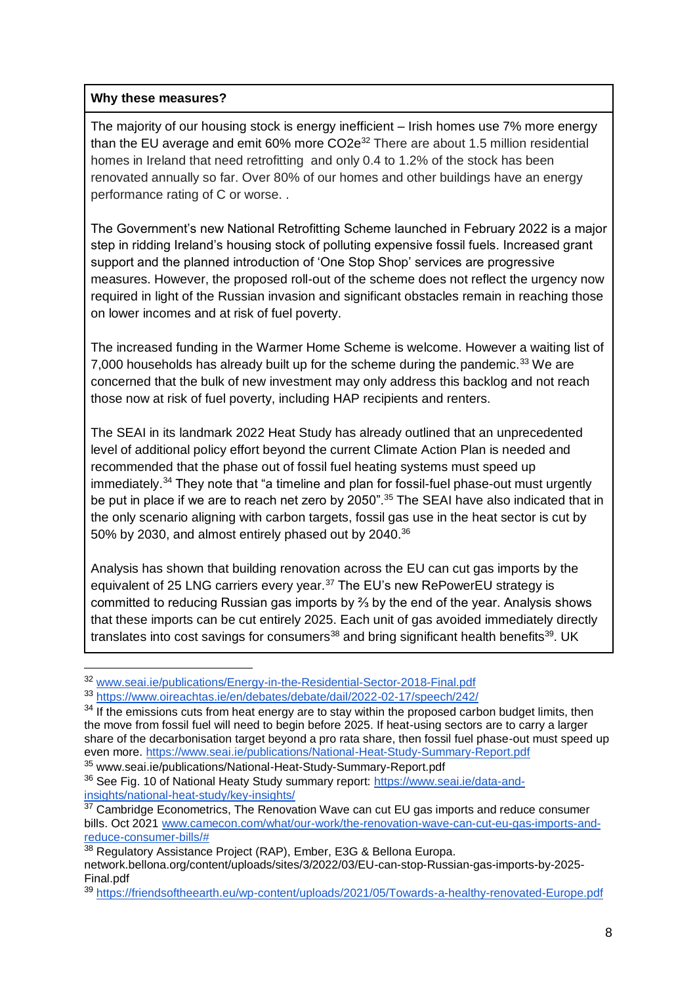#### **Why these measures?**

-

The majority of our housing stock is energy inefficient – Irish homes use 7% more energy than the EU average and emit 60% more CO2e<sup>32</sup> There are about 1.5 million residential homes in Ireland that need retrofitting and only 0.4 to 1.2% of the stock has been renovated annually so far. Over 80% of our homes and other buildings have an energy performance rating of C or worse. .

The Government's new National Retrofitting Scheme launched in February 2022 is a major step in ridding Ireland's housing stock of polluting expensive fossil fuels. Increased grant support and the planned introduction of 'One Stop Shop' services are progressive measures. However, the proposed roll-out of the scheme does not reflect the urgency now required in light of the Russian invasion and significant obstacles remain in reaching those on lower incomes and at risk of fuel poverty.

The increased funding in the Warmer Home Scheme is welcome. However a waiting list of 7,000 households has already built up for the scheme during the pandemic.<sup>33</sup> We are concerned that the bulk of new investment may only address this backlog and not reach those now at risk of fuel poverty, including HAP recipients and renters.

The SEAI in its landmark 2022 Heat Study has already outlined that an unprecedented level of additional policy effort beyond the current Climate Action Plan is needed and recommended that the phase out of fossil fuel heating systems must speed up immediately.<sup>34</sup> They note that "a timeline and plan for fossil-fuel phase-out must urgently be put in place if we are to reach net zero by 2050".<sup>35</sup> The SEAI have also indicated that in the only scenario aligning with carbon targets, fossil gas use in the heat sector is cut by 50% by 2030, and almost entirely phased out by 2040.<sup>36</sup>

Analysis has shown that building renovation across the EU can cut gas imports by the equivalent of 25 LNG carriers every year.<sup>37</sup> The EU's new RePowerEU strategy is committed to reducing Russian gas imports by ⅔ by the end of the year. Analysis shows that these imports can be cut entirely 2025. Each unit of gas avoided immediately directly translates into cost savings for consumers $38$  and bring significant health benefits $39$ . UK

<sup>32</sup> [www.seai.ie/publications/Energy-in-the-Residential-Sector-2018-Final.pdf](http://www.seai.ie/publications/Energy-in-the-Residential-Sector-2018-Final.pdf)

<sup>33</sup> <https://www.oireachtas.ie/en/debates/debate/dail/2022-02-17/speech/242/>

 $34$  If the emissions cuts from heat energy are to stay within the proposed carbon budget limits, then the move from fossil fuel will need to begin before 2025. If heat-using sectors are to carry a larger share of the decarbonisation target beyond a pro rata share, then fossil fuel phase-out must speed up even more.<https://www.seai.ie/publications/National-Heat-Study-Summary-Report.pdf>

<sup>35</sup> www.seai.ie/publications/National-Heat-Study-Summary-Report.pdf

<sup>&</sup>lt;sup>36</sup> See Fig. 10 of National Heaty Study summary report: [https://www.seai.ie/data-and](https://www.seai.ie/data-and-insights/national-heat-study/key-insights/)[insights/national-heat-study/key-insights/](https://www.seai.ie/data-and-insights/national-heat-study/key-insights/) 

 $37$  Cambridge Econometrics, The Renovation Wave can cut EU gas imports and reduce consumer bills. Oct 2021 [www.camecon.com/what/our-work/the-renovation-wave-can-cut-eu-gas-imports-and](http://www.camecon.com/what/our-work/the-renovation-wave-can-cut-eu-gas-imports-and-reduce-consumer-bills/)[reduce-consumer-bills/#](http://www.camecon.com/what/our-work/the-renovation-wave-can-cut-eu-gas-imports-and-reduce-consumer-bills/)

<sup>38</sup> Regulatory Assistance Project (RAP), Ember, E3G & Bellona Europa. network.bellona.org/content/uploads/sites/3/2022/03/EU-can-stop-Russian-gas-imports-by-2025- Final.pdf

<sup>39</sup> <https://friendsoftheearth.eu/wp-content/uploads/2021/05/Towards-a-healthy-renovated-Europe.pdf>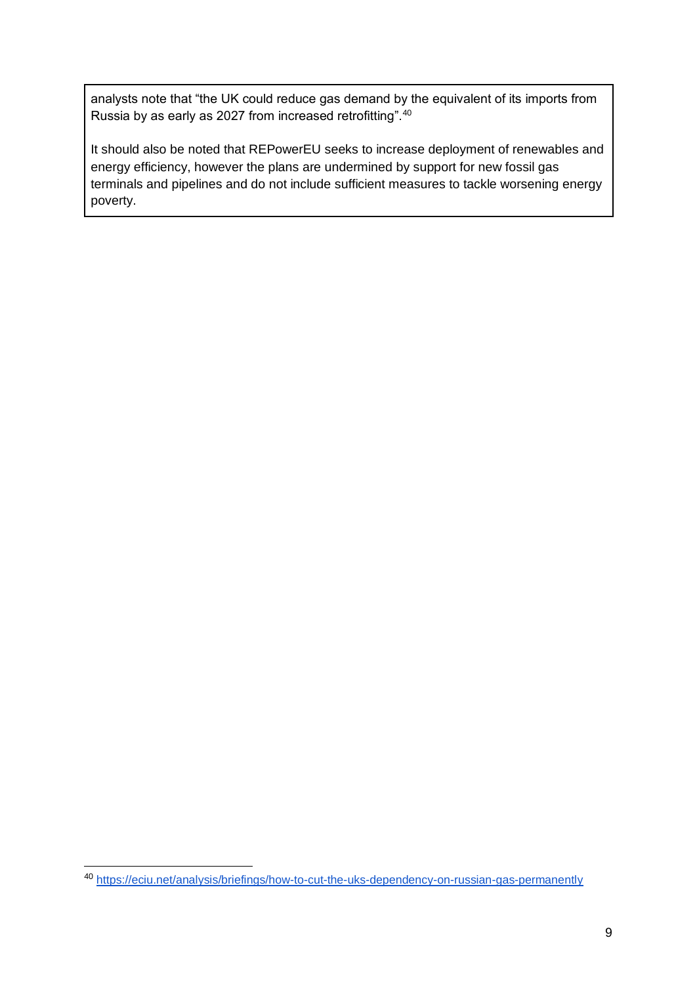analysts note that "the UK could reduce gas demand by the equivalent of its imports from Russia by as early as 2027 from increased retrofitting".<sup>40</sup>

It should also be noted that REPowerEU seeks to increase deployment of renewables and energy efficiency, however the plans are undermined by support for new fossil gas terminals and pipelines and do not include sufficient measures to tackle worsening energy poverty.

<sup>&</sup>lt;sup>40</sup> https://eciu.net/analysis/briefings/how-to-cut-the-uks-dependency-on-russian-gas-permanently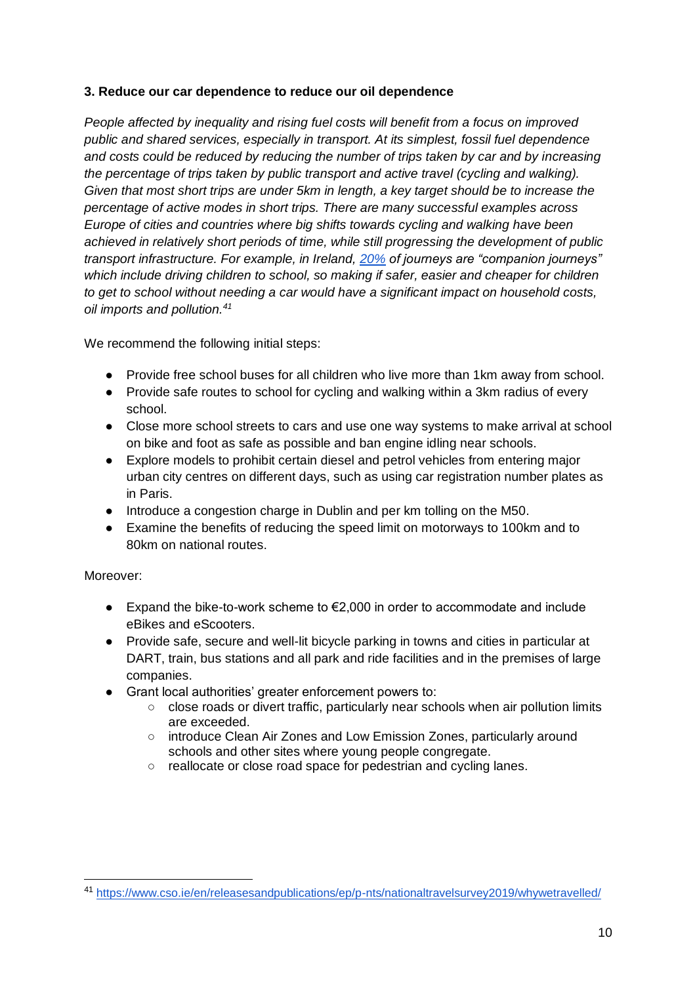#### **3. Reduce our car dependence to reduce our oil dependence**

*People affected by inequality and rising fuel costs will benefit from a focus on improved public and shared services, especially in transport. At its simplest, fossil fuel dependence and costs could be reduced by reducing the number of trips taken by car and by increasing the percentage of trips taken by public transport and active travel (cycling and walking). Given that most short trips are under 5km in length, a key target should be to increase the percentage of active modes in short trips. There are many successful examples across Europe of cities and countries where big shifts towards cycling and walking have been achieved in relatively short periods of time, while still progressing the development of public transport infrastructure. For example, in Ireland, [20%](https://www.cso.ie/en/releasesandpublications/ep/p-nts/nationaltravelsurvey2019/whywetravelled/) of journeys are "companion journeys" which include driving children to school, so making if safer, easier and cheaper for children to get to school without needing a car would have a significant impact on household costs, oil imports and pollution.<sup>41</sup>*

We recommend the following initial steps:

- Provide free school buses for all children who live more than 1km away from school.
- Provide safe routes to school for cycling and walking within a 3km radius of every school.
- Close more school streets to cars and use one way systems to make arrival at school on bike and foot as safe as possible and ban engine idling near schools.
- Explore models to prohibit certain diesel and petrol vehicles from entering major urban city centres on different days, such as using car registration number plates as in Paris.
- Introduce a congestion charge in Dublin and per km tolling on the M50.
- Examine the benefits of reducing the speed limit on motorways to 100km and to 80km on national routes.

#### Moreover:

- $\bullet$  Expand the bike-to-work scheme to €2,000 in order to accommodate and include eBikes and eScooters.
- Provide safe, secure and well-lit bicycle parking in towns and cities in particular at DART, train, bus stations and all park and ride facilities and in the premises of large companies.
- Grant local authorities' greater enforcement powers to:
	- close roads or divert traffic, particularly near schools when air pollution limits are exceeded.
	- introduce Clean Air Zones and Low Emission Zones, particularly around schools and other sites where young people congregate.
	- reallocate or close road space for pedestrian and cycling lanes.

<sup>41</sup> <https://www.cso.ie/en/releasesandpublications/ep/p-nts/nationaltravelsurvey2019/whywetravelled/>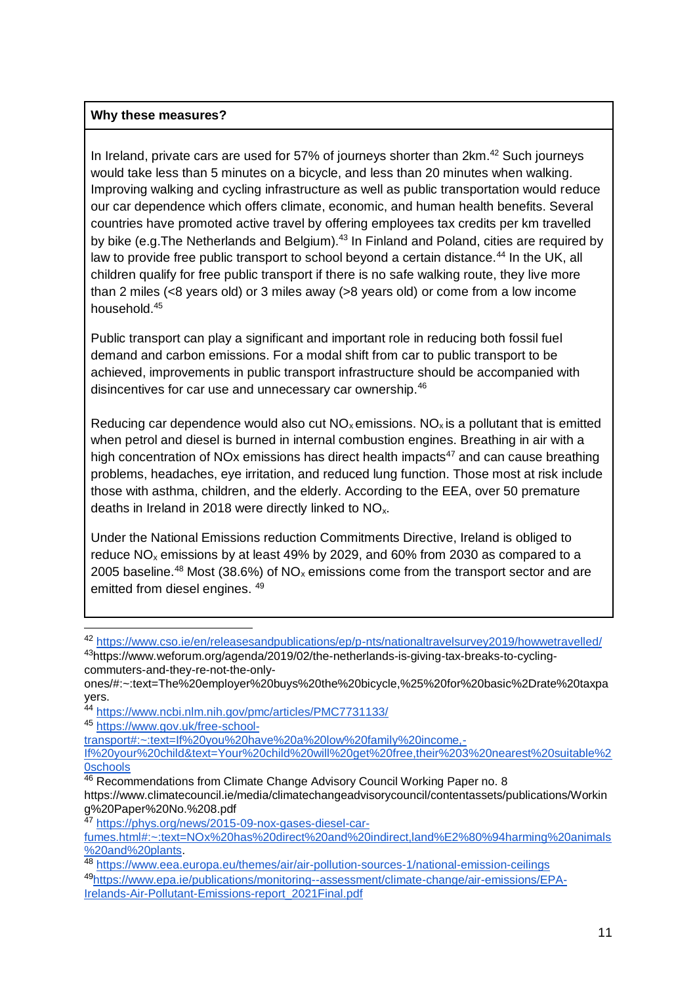#### **Why these measures?**

In Ireland, private cars are used for  $57\%$  of journeys shorter than  $2km.<sup>42</sup>$  Such journeys would take less than 5 minutes on a bicycle, and less than 20 minutes when walking. Improving walking and cycling infrastructure as well as public transportation would reduce our car dependence which offers climate, economic, and human health benefits. Several countries have promoted active travel by offering employees tax credits per km travelled by bike (e.g. The Netherlands and Belgium).<sup>43</sup> In Finland and Poland, cities are required by law to provide free public transport to school beyond a certain distance.<sup>44</sup> In the UK, all children qualify for free public transport if there is no safe walking route, they live more than 2 miles (<8 years old) or 3 miles away (>8 years old) or come from a low income household.<sup>45</sup>

Public transport can play a significant and important role in reducing both fossil fuel demand and carbon emissions. For a modal shift from car to public transport to be achieved, improvements in public transport infrastructure should be accompanied with disincentives for car use and unnecessary car ownership.<sup>46</sup>

Reducing car dependence would also cut  $NO<sub>x</sub>$  emissions.  $NO<sub>x</sub>$  is a pollutant that is emitted when petrol and diesel is burned in internal combustion engines. Breathing in air with a high concentration of NOx emissions has direct health impacts $47$  and can cause breathing problems, headaches, eye irritation, and reduced lung function. Those most at risk include those with asthma, children, and the elderly. According to the EEA, over 50 premature deaths in Ireland in 2018 were directly linked to NOx.

Under the National Emissions reduction Commitments Directive, Ireland is obliged to reduce NO<sup>x</sup> emissions by at least 49% by 2029, and 60% from 2030 as compared to a 2005 baseline.<sup>48</sup> Most (38.6%) of  $NO<sub>x</sub>$  emissions come from the transport sector and are emitted from diesel engines. <sup>49</sup>

<sup>42</sup> https://www.cso.ie/en/releasesandpublications/ep/p-nts/nationaltravelsurvey2019/howwetravelled/

<sup>43</sup>https://www.weforum.org/agenda/2019/02/the-netherlands-is-giving-tax-breaks-to-cyclingcommuters-and-they-re-not-the-only-

ones/#:~:text=The%20employer%20buys%20the%20bicycle,%25%20for%20basic%2Drate%20taxpa yers.

<sup>&</sup>lt;sup>44</sup> https://www.<u>ncbi.nlm.nih.gov/pmc/articles/PMC7731133/</u>

<sup>45</sup> [https://www.gov.uk/free-school-](https://www.gov.uk/free-school-transport#:~:text=If%20you%20have%20a%20low%20family%20income,-If%20your%20child&text=Your%20child%20will%20get%20free,their%203%20nearest%20suitable%20schools)

[transport#:~:text=If%20you%20have%20a%20low%20family%20income,-](https://www.gov.uk/free-school-transport#:~:text=If%20you%20have%20a%20low%20family%20income,-If%20your%20child&text=Your%20child%20will%20get%20free,their%203%20nearest%20suitable%20schools)

[If%20your%20child&text=Your%20child%20will%20get%20free,their%203%20nearest%20suitable%2](https://www.gov.uk/free-school-transport#:~:text=If%20you%20have%20a%20low%20family%20income,-If%20your%20child&text=Your%20child%20will%20get%20free,their%203%20nearest%20suitable%20schools) [0schools](https://www.gov.uk/free-school-transport#:~:text=If%20you%20have%20a%20low%20family%20income,-If%20your%20child&text=Your%20child%20will%20get%20free,their%203%20nearest%20suitable%20schools)

<sup>46</sup> Recommendations from Climate Change Advisory Council Working Paper no. 8 https://www.climatecouncil.ie/media/climatechangeadvisorycouncil/contentassets/publications/Workin g%20Paper%20No.%208.pdf

<sup>47</sup> https://phys.org/news/2015-09-nox-gases-diesel-car-

fumes.html#:~:text=NOx%20has%20direct%20and%20indirect,land%E2%80%94harming%20animals %20and%20plants.

<sup>48</sup> https://www.eea.europa.eu/themes/air/air-pollution-sources-1/national-emission-ceilings

<sup>49</sup>https://www.epa.ie/publications/monitoring--assessment/climate-change/air-emissions/EPA-Irelands-Air-Pollutant-Emissions-report\_2021Final.pdf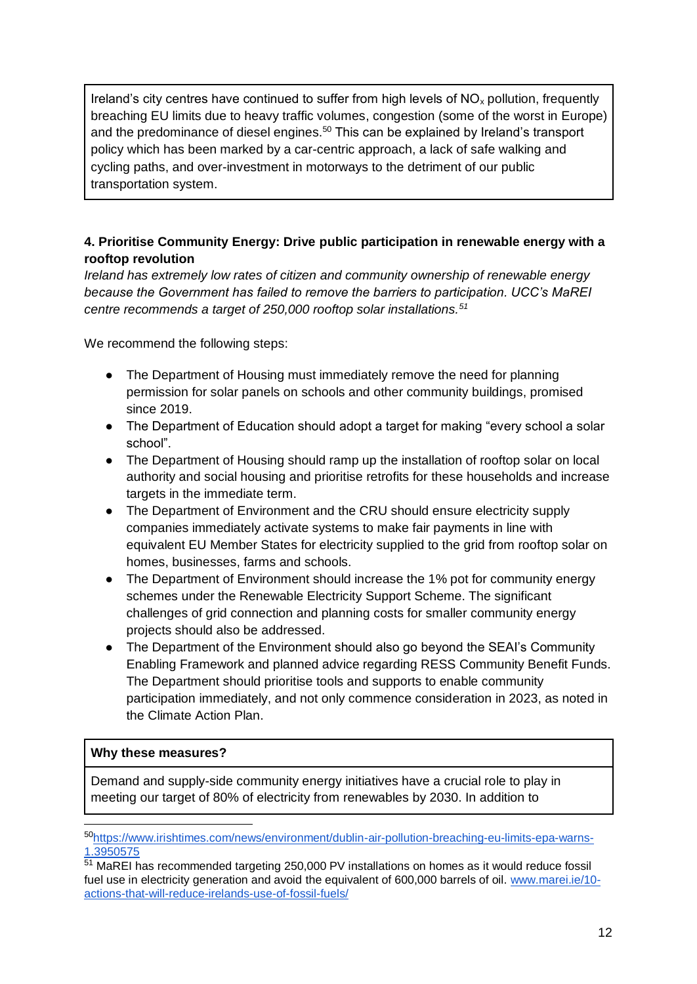Ireland's city centres have continued to suffer from high levels of  $NO<sub>x</sub>$  pollution, frequently breaching EU limits due to heavy traffic volumes, congestion (some of the worst in Europe) and the predominance of diesel engines.<sup>50</sup> This can be explained by Ireland's transport policy which has been marked by a car-centric approach, a lack of safe walking and cycling paths, and over-investment in motorways to the detriment of our public transportation system.

#### **4. Prioritise Community Energy: Drive public participation in renewable energy with a rooftop revolution**

*Ireland has extremely low rates of citizen and community ownership of renewable energy because the Government has failed to remove the barriers to participation. UCC's MaREI centre recommends a target of 250,000 rooftop solar installations.<sup>51</sup>*

We recommend the following steps:

- The Department of Housing must immediately remove the need for planning permission for solar panels on schools and other community buildings, promised since 2019.
- The Department of Education should adopt a target for making "every school a solar school".
- The Department of Housing should ramp up the installation of rooftop solar on local authority and social housing and prioritise retrofits for these households and increase targets in the immediate term.
- The Department of Environment and the CRU should ensure electricity supply companies immediately activate systems to make fair payments in line with equivalent EU Member States for electricity supplied to the grid from rooftop solar on homes, businesses, farms and schools.
- The Department of Environment should increase the 1% pot for community energy schemes under the Renewable Electricity Support Scheme. The significant challenges of grid connection and planning costs for smaller community energy projects should also be addressed.
- The Department of the Environment should also go beyond the SEAI's Community Enabling Framework and planned advice regarding RESS Community Benefit Funds. The Department should prioritise tools and supports to enable community participation immediately, and not only commence consideration in 2023, as noted in the Climate Action Plan.

#### **Why these measures?**

-

Demand and supply-side community energy initiatives have a crucial role to play in meeting our target of 80% of electricity from renewables by 2030. In addition to

<sup>50</sup>https://www.irishtimes.com/news/environment/dublin-air-pollution-breaching-eu-limits-epa-warns-1.3950575

<sup>&</sup>lt;sup>51</sup> MaREI has recommended targeting 250,000 PV installations on homes as it would reduce fossil fuel use in electricity generation and avoid the equivalent of 600,000 barrels of oil. [www.marei.ie/10](http://www.marei.ie/10-actions-that-will-reduce-irelands-use-of-fossil-fuels/) [actions-that-will-reduce-irelands-use-of-fossil-fuels/](http://www.marei.ie/10-actions-that-will-reduce-irelands-use-of-fossil-fuels/)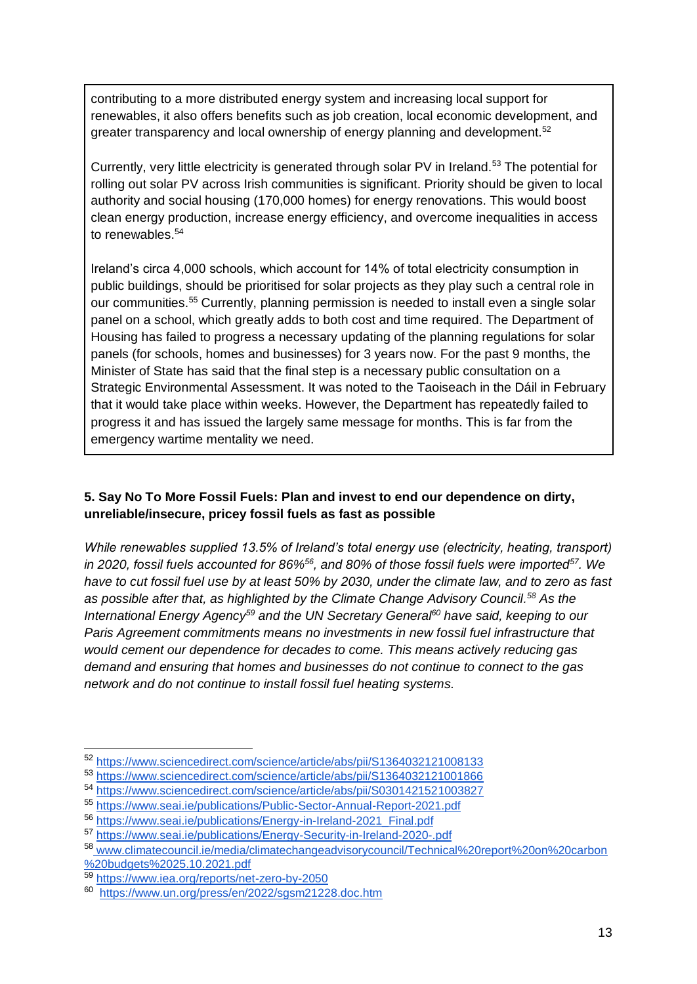contributing to a more distributed energy system and increasing local support for renewables, it also offers benefits such as job creation, local economic development, and greater transparency and local ownership of energy planning and development.<sup>52</sup>

Currently, very little electricity is generated through solar PV in Ireland.<sup>53</sup> The potential for rolling out solar PV across Irish communities is significant. Priority should be given to local authority and social housing (170,000 homes) for energy renovations. This would boost clean energy production, increase energy efficiency, and overcome inequalities in access to renewables.<sup>54</sup>

Ireland's circa 4,000 schools, which account for 14% of total electricity consumption in public buildings, should be prioritised for solar projects as they play such a central role in our communities.<sup>55</sup> Currently, planning permission is needed to install even a single solar panel on a school, which greatly adds to both cost and time required. The Department of Housing has failed to progress a necessary updating of the planning regulations for solar panels (for schools, homes and businesses) for 3 years now. For the past 9 months, the Minister of State has said that the final step is a necessary public consultation on a Strategic Environmental Assessment. It was noted to the Taoiseach in the Dáil in February that it would take place within weeks. However, the Department has repeatedly failed to progress it and has issued the largely same message for months. This is far from the emergency wartime mentality we need.

#### **5. Say No To More Fossil Fuels: Plan and invest to end our dependence on dirty, unreliable/insecure, pricey fossil fuels as fast as possible**

*While renewables supplied 13.5% of Ireland's total energy use (electricity, heating, transport) in 2020, fossil fuels accounted for 86%<sup>56</sup>, and 80% of those fossil fuels were imported<sup>57</sup>. We have to cut fossil fuel use by at least 50% by 2030, under the climate law, and to zero as fast as possible after that, as highlighted by the Climate Change Advisory Council. <sup>58</sup> As the International Energy Agency<sup>59</sup> and the UN Secretary General<sup>60</sup> have said, keeping to our Paris Agreement commitments means no investments in new fossil fuel infrastructure that would cement our dependence for decades to come. This means actively reducing gas demand and ensuring that homes and businesses do not continue to connect to the gas network and do not continue to install fossil fuel heating systems.*

<sup>52</sup> https://www.sciencedirect.com/science/article/abs/pii/S1364032121008133

<sup>53</sup> https://www.sciencedirect.com/science/article/abs/pii/S1364032121001866

<sup>54</sup> https://www.sciencedirect.com/science/article/abs/pii/S0301421521003827

<sup>55</sup> https://www.seai.ie/publications/Public-Sector-Annual-Report-2021.pdf

<sup>56</sup> [https://www.seai.ie/publications/Energy-in-Ireland-2021\\_Final.pdf](https://www.seai.ie/publications/Energy-in-Ireland-2021_Final.pdf)

<sup>57</sup> <https://www.seai.ie/publications/Energy-Security-in-Ireland-2020-.pdf>

<sup>58</sup> [www.climatecouncil.ie/media/climatechangeadvisorycouncil/Technical%20report%20on%20carbon](http://www.climatecouncil.ie/media/climatechangeadvisorycouncil/Technical%20report%20on%20carbon)  [%20budgets%2025.10.2021.pdf](http://www.climatecouncil.ie/media/climatechangeadvisorycouncil/Technical%20report%20on%20carbon) 

<sup>59</sup> <https://www.iea.org/reports/net-zero-by-2050>

<sup>60</sup> <https://www.un.org/press/en/2022/sgsm21228.doc.htm>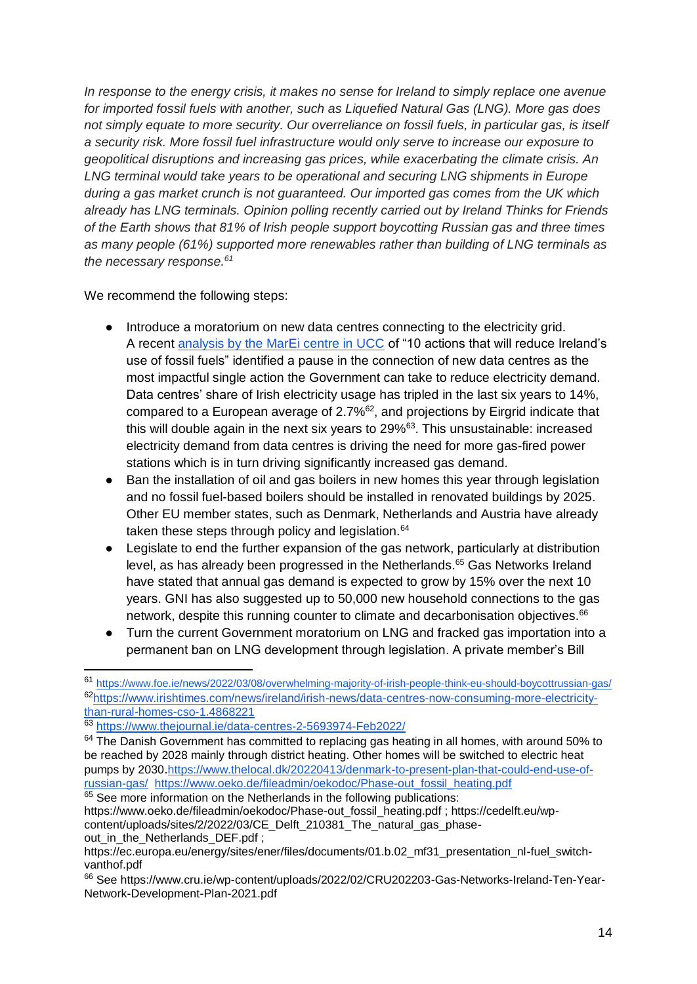*In response to the energy crisis, it makes no sense for Ireland to simply replace one avenue for imported fossil fuels with another, such as Liquefied Natural Gas (LNG). More gas does not simply equate to more security. Our overreliance on fossil fuels, in particular gas, is itself a security risk. More fossil fuel infrastructure would only serve to increase our exposure to geopolitical disruptions and increasing gas prices, while exacerbating the climate crisis. An LNG terminal would take years to be operational and securing LNG shipments in Europe during a gas market crunch is not guaranteed. Our imported gas comes from the UK which already has LNG terminals. Opinion polling recently carried out by Ireland Thinks for Friends of the Earth shows that 81% of Irish people support boycotting Russian gas and three times as many people (61%) supported more renewables rather than building of LNG terminals as the necessary response.<sup>61</sup>*

We recommend the following steps:

- Introduce a moratorium on new data centres connecting to the electricity grid. A recen[t](https://www.marei.ie/10-actions-that-will-reduce-irelands-use-of-fossil-fuels/) [analysis by the MarEi centre in UCC](https://www.marei.ie/10-actions-that-will-reduce-irelands-use-of-fossil-fuels/) of "10 actions that will reduce Ireland's use of fossil fuels" identified a pause in the connection of new data centres as the most impactful single action the Government can take to reduce electricity demand. Data centres' share of Irish electricity usage has tripled in the last six years to 14%, compared to a European average of 2.7%<sup>62</sup>, and projections by Eirgrid indicate that this will double again in the next six years to 29%<sup>63</sup>. This unsustainable: increased electricity demand from data centres is driving the need for more gas-fired power stations which is in turn driving significantly increased gas demand.
- Ban the installation of oil and gas boilers in new homes this year through legislation and no fossil fuel-based boilers should be installed in renovated buildings by 2025. Other EU member states, such as Denmark, Netherlands and Austria have already taken these steps through policy and legislation. $64$
- Legislate to end the further expansion of the gas network, particularly at distribution level, as has already been progressed in the Netherlands.<sup>65</sup> Gas Networks Ireland have stated that annual gas demand is expected to grow by 15% over the next 10 years. GNI has also suggested up to 50,000 new household connections to the gas network, despite this running counter to climate and decarbonisation objectives.<sup>66</sup>
- Turn the current Government moratorium on LNG and fracked gas importation into a permanent ban on LNG development through legislation. A private member's Bill

-

<sup>65</sup> See more information on the Netherlands in the following publications: https://www.oeko.de/fileadmin/oekodoc/Phase-out\_fossil\_heating.pdf ; https://cedelft.eu/wpcontent/uploads/sites/2/2022/03/CE\_Delft\_210381\_The\_natural\_gas\_phaseout in the Netherlands DEF.pdf ;

<sup>61</sup> <https://www.foe.ie/news/2022/03/08/overwhelming-majority-of-irish-people-think-eu-should-boycottrussian-gas/> <sup>62</sup>[https://www.irishtimes.com/news/ireland/irish-news/data-centres-now-consuming-more-electricity](https://www.irishtimes.com/news/ireland/irish-news/data-centres-now-consuming-more-electricity-than-rural-homes-cso-1.4868221)[than-rural-homes-cso-1.4868221](https://www.irishtimes.com/news/ireland/irish-news/data-centres-now-consuming-more-electricity-than-rural-homes-cso-1.4868221)

<sup>63</sup> <https://www.thejournal.ie/data-centres-2-5693974-Feb2022/>

<sup>&</sup>lt;sup>64</sup> The Danish Government has committed to replacing gas heating in all homes, with around 50% to be reached by 2028 mainly through district heating. Other homes will be switched to electric heat pumps by 2030.[https://www.thelocal.dk/20220413/denmark-to-present-plan-that-could-end-use-of](https://www.thelocal.dk/20220413/denmark-to-present-plan-that-could-end-use-of-russian-gas/)[russian-gas/](https://www.thelocal.dk/20220413/denmark-to-present-plan-that-could-end-use-of-russian-gas/) https://www.oeko.de/fileadmin/oekodoc/Phase-out\_fossil\_heating.pdf

https://ec.europa.eu/energy/sites/ener/files/documents/01.b.02 mf31 presentation nl-fuel switchvanthof.pdf

<sup>&</sup>lt;sup>66</sup> See https://www.cru.ie/wp-content/uploads/2022/02/CRU202203-Gas-Networks-Ireland-Ten-Year-Network-Development-Plan-2021.pdf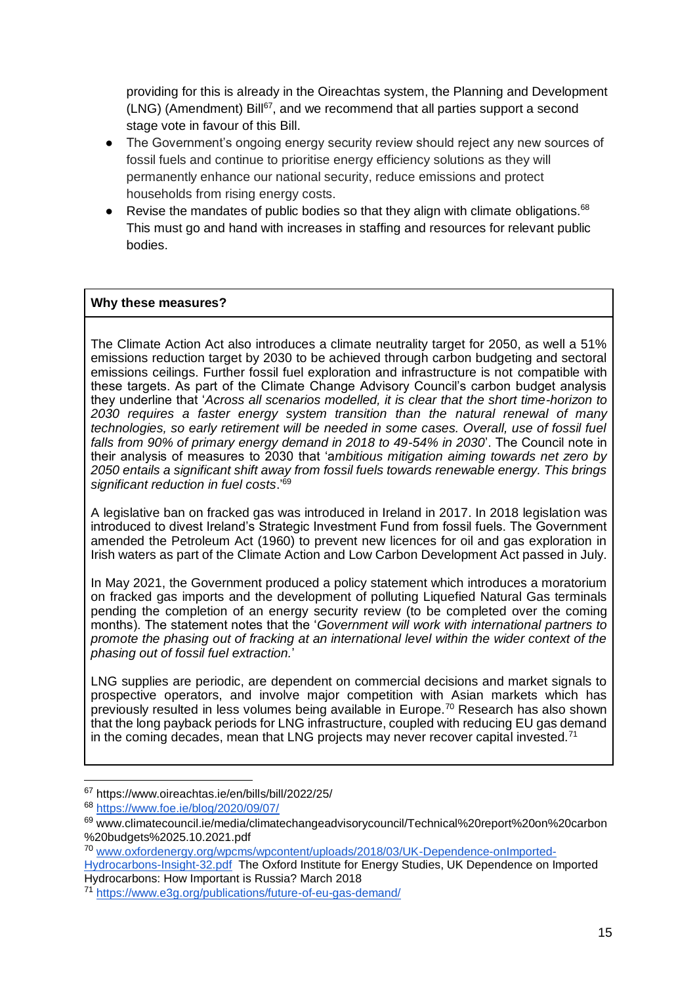providing for this is already in the Oireachtas system, the Planning and Development  $(LNG)$  (Amendment) Bill<sup>67</sup>, and we recommend that all parties support a second stage vote in favour of this Bill.

- The Government's ongoing energy security review should reject any new sources of fossil fuels and continue to prioritise energy efficiency solutions as they will permanently enhance our national security, reduce emissions and protect households from rising energy costs.
- Revise the mandates of public bodies so that they align with climate obligations. $68$ This must go and hand with increases in staffing and resources for relevant public bodies.

#### **Why these measures?**

The Climate Action Act also introduces a climate neutrality target for 2050, as well a 51% emissions reduction target by 2030 to be achieved through carbon budgeting and sectoral emissions ceilings. Further fossil fuel exploration and infrastructure is not compatible with these targets. As part of the Climate Change Advisory Council's carbon budget analysis they underline that '*Across all scenarios modelled, it is clear that the short time-horizon to 2030 requires a faster energy system transition than the natural renewal of many technologies, so early retirement will be needed in some cases. Overall, use of fossil fuel falls from 90% of primary energy demand in 2018 to 49-54% in 2030*'. The Council note in their analysis of measures to 2030 that 'a*mbitious mitigation aiming towards net zero by 2050 entails a significant shift away from fossil fuels towards renewable energy. This brings significant reduction in fuel costs*.'<sup>69</sup>

A legislative ban on fracked gas was introduced in Ireland in 2017. In 2018 legislation was introduced to divest Ireland's Strategic Investment Fund from fossil fuels. The Government amended the Petroleum Act (1960) to prevent new licences for oil and gas exploration in Irish waters as part of the Climate Action and Low Carbon Development Act passed in July.

In May 2021, the Government produced a policy statement which introduces a moratorium on fracked gas imports and the development of polluting Liquefied Natural Gas terminals pending the completion of an energy security review (to be completed over the coming months). The statement notes that the '*Government will work with international partners to promote the phasing out of fracking at an international level within the wider context of the phasing out of fossil fuel extraction.*'

LNG supplies are periodic, are dependent on commercial decisions and market signals to prospective operators, and involve major competition with Asian markets which has previously resulted in less volumes being available in Europe.<sup>70</sup> Research has also shown that the long payback periods for LNG infrastructure, coupled with reducing EU gas demand in the coming decades, mean that LNG projects may never recover capital invested.<sup>71</sup>

<sup>67</sup> https://www.oireachtas.ie/en/bills/bill/2022/25/

<sup>68</sup> <https://www.foe.ie/blog/2020/09/07/>

<sup>69</sup> www.climatecouncil.ie/media/climatechangeadvisorycouncil/Technical%20report%20on%20carbon %20budgets%2025.10.2021.pdf

<sup>70</sup> [www.oxfordenergy.org/wpcms/wpcontent/uploads/2018/03/UK-Dependence-onImported-](http://www.oxfordenergy.org/wpcms/wpcontent/uploads/2018/03/UK-Dependence-onImported-Hydrocarbons-Insight-32.pdf)

[Hydrocarbons-Insight-32.pdf](http://www.oxfordenergy.org/wpcms/wpcontent/uploads/2018/03/UK-Dependence-onImported-Hydrocarbons-Insight-32.pdf) The Oxford Institute for Energy Studies, UK Dependence on Imported Hydrocarbons: How Important is Russia? March 2018

<sup>71</sup> <https://www.e3g.org/publications/future-of-eu-gas-demand/>